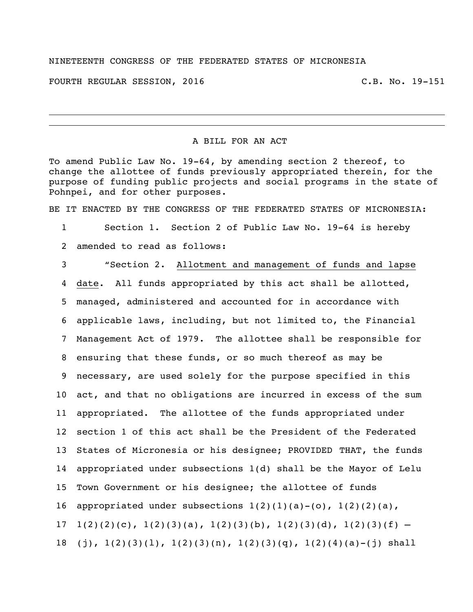## NINETEENTH CONGRESS OF THE FEDERATED STATES OF MICRONESIA

FOURTH REGULAR SESSION, 2016 C.B. No. 19-151

## A BILL FOR AN ACT

To amend Public Law No. 19-64, by amending section 2 thereof, to change the allottee of funds previously appropriated therein, for the purpose of funding public projects and social programs in the state of Pohnpei, and for other purposes.

BE IT ENACTED BY THE CONGRESS OF THE FEDERATED STATES OF MICRONESIA:

1 Section 1. Section 2 of Public Law No. 19-64 is hereby 2 amended to read as follows:

 "Section 2. Allotment and management of funds and lapse date. All funds appropriated by this act shall be allotted, managed, administered and accounted for in accordance with applicable laws, including, but not limited to, the Financial Management Act of 1979. The allottee shall be responsible for ensuring that these funds, or so much thereof as may be necessary, are used solely for the purpose specified in this act, and that no obligations are incurred in excess of the sum appropriated. The allottee of the funds appropriated under section 1 of this act shall be the President of the Federated States of Micronesia or his designee; PROVIDED THAT, the funds appropriated under subsections 1(d) shall be the Mayor of Lelu Town Government or his designee; the allottee of funds 16 appropriated under subsections  $1(2)(1)(a)-(o)$ ,  $1(2)(2)(a)$ , 17 1(2)(2)(c), 1(2)(3)(a), 1(2)(3)(b), 1(2)(3)(d), 1(2)(3)(f) – 18 (j),  $1(2)(3)(1)$ ,  $1(2)(3)(n)$ ,  $1(2)(3)(q)$ ,  $1(2)(4)(a)-(j)$  shall